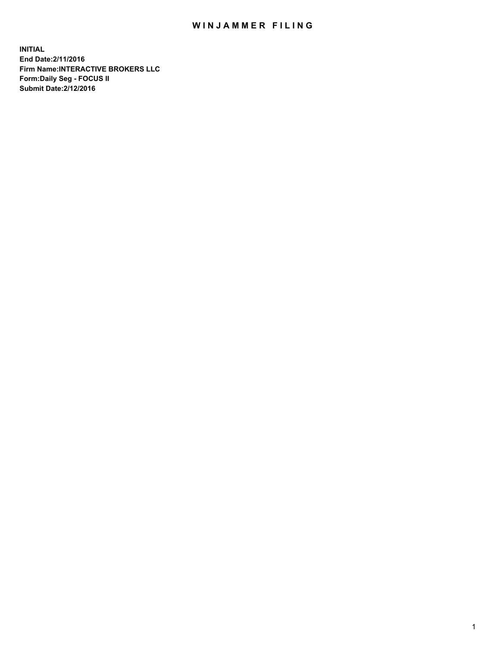## WIN JAMMER FILING

**INITIAL End Date:2/11/2016 Firm Name:INTERACTIVE BROKERS LLC Form:Daily Seg - FOCUS II Submit Date:2/12/2016**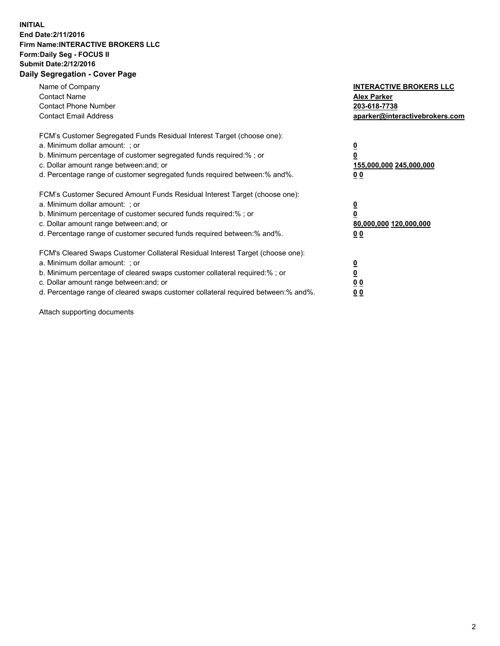## **INITIAL End Date:2/11/2016 Firm Name:INTERACTIVE BROKERS LLC Form:Daily Seg - FOCUS II Submit Date:2/12/2016 Daily Segregation - Cover Page**

| Name of Company<br><b>Contact Name</b><br><b>Contact Phone Number</b><br><b>Contact Email Address</b>                                                                                                                                                                                                                         | <b>INTERACTIVE BROKERS LLC</b><br><b>Alex Parker</b><br>203-618-7738<br>aparker@interactivebrokers.com |
|-------------------------------------------------------------------------------------------------------------------------------------------------------------------------------------------------------------------------------------------------------------------------------------------------------------------------------|--------------------------------------------------------------------------------------------------------|
| FCM's Customer Segregated Funds Residual Interest Target (choose one):<br>a. Minimum dollar amount: ; or<br>b. Minimum percentage of customer segregated funds required:% ; or<br>c. Dollar amount range between: and; or<br>d. Percentage range of customer segregated funds required between:% and%.                        | <u>0</u><br>155,000,000 245,000,000<br>0 <sub>0</sub>                                                  |
| FCM's Customer Secured Amount Funds Residual Interest Target (choose one):<br>a. Minimum dollar amount: ; or<br>b. Minimum percentage of customer secured funds required:%; or<br>c. Dollar amount range between: and; or<br>d. Percentage range of customer secured funds required between: % and %.                         | <u>0</u><br>80,000,000 120,000,000<br><u>00</u>                                                        |
| FCM's Cleared Swaps Customer Collateral Residual Interest Target (choose one):<br>a. Minimum dollar amount: ; or<br>b. Minimum percentage of cleared swaps customer collateral required:%; or<br>c. Dollar amount range between: and; or<br>d. Percentage range of cleared swaps customer collateral required between:% and%. | <u>0</u><br>0 <sub>0</sub><br>0 <sub>0</sub>                                                           |

Attach supporting documents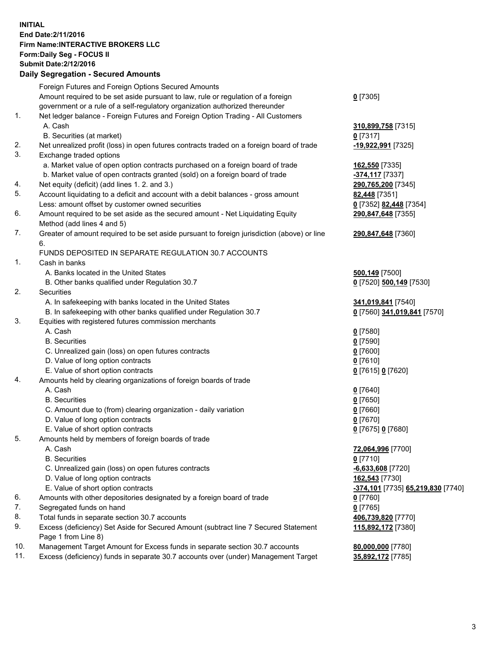## **INITIAL End Date:2/11/2016 Firm Name:INTERACTIVE BROKERS LLC Form:Daily Seg - FOCUS II Submit Date:2/12/2016 Daily Segregation - Secured Amounts**

|     | Daily Ocglegation - Occarea Anioants                                                               |                                   |
|-----|----------------------------------------------------------------------------------------------------|-----------------------------------|
|     | Foreign Futures and Foreign Options Secured Amounts                                                |                                   |
|     | Amount required to be set aside pursuant to law, rule or regulation of a foreign                   | $0$ [7305]                        |
|     | government or a rule of a self-regulatory organization authorized thereunder                       |                                   |
| 1.  | Net ledger balance - Foreign Futures and Foreign Option Trading - All Customers                    |                                   |
|     | A. Cash                                                                                            | 310,899,758 [7315]                |
|     | B. Securities (at market)                                                                          | $0$ [7317]                        |
| 2.  | Net unrealized profit (loss) in open futures contracts traded on a foreign board of trade          | -19,922,991 [7325]                |
| 3.  | Exchange traded options                                                                            |                                   |
|     | a. Market value of open option contracts purchased on a foreign board of trade                     | 162,550 [7335]                    |
|     | b. Market value of open contracts granted (sold) on a foreign board of trade                       | -374,117 [7337]                   |
| 4.  | Net equity (deficit) (add lines 1. 2. and 3.)                                                      | 290,765,200 [7345]                |
| 5.  | Account liquidating to a deficit and account with a debit balances - gross amount                  | 82,448 [7351]                     |
|     | Less: amount offset by customer owned securities                                                   | 0 [7352] 82,448 [7354]            |
| 6.  | Amount required to be set aside as the secured amount - Net Liquidating Equity                     | 290,847,648 [7355]                |
|     | Method (add lines 4 and 5)                                                                         |                                   |
| 7.  | Greater of amount required to be set aside pursuant to foreign jurisdiction (above) or line        | 290,847,648 [7360]                |
|     | 6.                                                                                                 |                                   |
|     | FUNDS DEPOSITED IN SEPARATE REGULATION 30.7 ACCOUNTS                                               |                                   |
| 1.  | Cash in banks                                                                                      |                                   |
|     | A. Banks located in the United States                                                              | 500,149 [7500]                    |
|     | B. Other banks qualified under Regulation 30.7                                                     | 0 [7520] 500,149 [7530]           |
| 2.  | Securities                                                                                         |                                   |
|     | A. In safekeeping with banks located in the United States                                          | 341,019,841 [7540]                |
|     | B. In safekeeping with other banks qualified under Regulation 30.7                                 | 0 [7560] 341,019,841 [7570]       |
| 3.  | Equities with registered futures commission merchants                                              |                                   |
|     | A. Cash                                                                                            | $0$ [7580]                        |
|     | <b>B.</b> Securities                                                                               | $0$ [7590]                        |
|     | C. Unrealized gain (loss) on open futures contracts                                                | $0$ [7600]                        |
|     | D. Value of long option contracts                                                                  | $0$ [7610]                        |
|     | E. Value of short option contracts                                                                 | 0 [7615] 0 [7620]                 |
| 4.  | Amounts held by clearing organizations of foreign boards of trade                                  |                                   |
|     | A. Cash                                                                                            | $0$ [7640]                        |
|     | <b>B.</b> Securities                                                                               | $0$ [7650]                        |
|     | C. Amount due to (from) clearing organization - daily variation                                    | $0$ [7660]                        |
|     | D. Value of long option contracts                                                                  | $0$ [7670]                        |
|     | E. Value of short option contracts                                                                 | 0 [7675] 0 [7680]                 |
| 5.  | Amounts held by members of foreign boards of trade                                                 |                                   |
|     | A. Cash                                                                                            | 72,064,996 [7700]                 |
|     | <b>B.</b> Securities                                                                               | $0$ [7710]                        |
|     | C. Unrealized gain (loss) on open futures contracts                                                | $-6,633,608$ [7720]               |
|     | D. Value of long option contracts                                                                  | 162,543 [7730]                    |
|     | E. Value of short option contracts                                                                 | -374,101 [7735] 65,219,830 [7740] |
| 6.  | Amounts with other depositories designated by a foreign board of trade                             | 0 [7760]                          |
| 7.  | Segregated funds on hand                                                                           | $0$ [7765]                        |
| 8.  | Total funds in separate section 30.7 accounts                                                      | 406,739,820 [7770]                |
| 9.  | Excess (deficiency) Set Aside for Secured Amount (subtract line 7 Secured Statement                | 115,892,172 [7380]                |
| 10. | Page 1 from Line 8)<br>Management Target Amount for Excess funds in separate section 30.7 accounts | 80,000,000 [7780]                 |
| 11. | Excess (deficiency) funds in separate 30.7 accounts over (under) Management Target                 |                                   |
|     |                                                                                                    | 35,892,172 [7785]                 |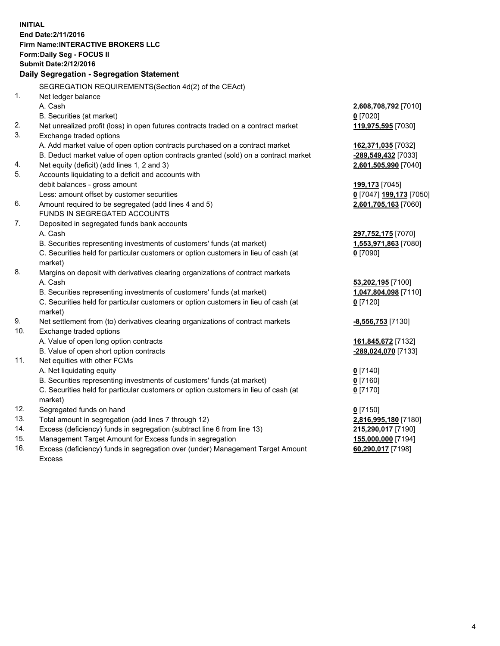**INITIAL End Date:2/11/2016 Firm Name:INTERACTIVE BROKERS LLC Form:Daily Seg - FOCUS II Submit Date:2/12/2016 Daily Segregation - Segregation Statement** SEGREGATION REQUIREMENTS(Section 4d(2) of the CEAct) 1. Net ledger balance A. Cash **2,608,708,792** [7010] B. Securities (at market) **0** [7020] 2. Net unrealized profit (loss) in open futures contracts traded on a contract market **119,975,595** [7030] 3. Exchange traded options A. Add market value of open option contracts purchased on a contract market **162,371,035** [7032] B. Deduct market value of open option contracts granted (sold) on a contract market **-289,549,432** [7033] 4. Net equity (deficit) (add lines 1, 2 and 3) **2,601,505,990** [7040] 5. Accounts liquidating to a deficit and accounts with debit balances - gross amount **199,173** [7045] Less: amount offset by customer securities **0** [7047] **199,173** [7050] 6. Amount required to be segregated (add lines 4 and 5) **2,601,705,163** [7060] FUNDS IN SEGREGATED ACCOUNTS 7. Deposited in segregated funds bank accounts A. Cash **297,752,175** [7070] B. Securities representing investments of customers' funds (at market) **1,553,971,863** [7080] C. Securities held for particular customers or option customers in lieu of cash (at market) **0** [7090] 8. Margins on deposit with derivatives clearing organizations of contract markets A. Cash **53,202,195** [7100] B. Securities representing investments of customers' funds (at market) **1,047,804,098** [7110] C. Securities held for particular customers or option customers in lieu of cash (at market) **0** [7120] 9. Net settlement from (to) derivatives clearing organizations of contract markets **-8,556,753** [7130] 10. Exchange traded options A. Value of open long option contracts **161,845,672** [7132] B. Value of open short option contracts **-289,024,070** [7133] 11. Net equities with other FCMs A. Net liquidating equity **0** [7140] B. Securities representing investments of customers' funds (at market) **0** [7160] C. Securities held for particular customers or option customers in lieu of cash (at market) **0** [7170] 12. Segregated funds on hand **0** [7150] 13. Total amount in segregation (add lines 7 through 12) **2,816,995,180** [7180] 14. Excess (deficiency) funds in segregation (subtract line 6 from line 13) **215,290,017** [7190] 15. Management Target Amount for Excess funds in segregation **155,000,000** [7194]

16. Excess (deficiency) funds in segregation over (under) Management Target Amount Excess

**60,290,017** [7198]